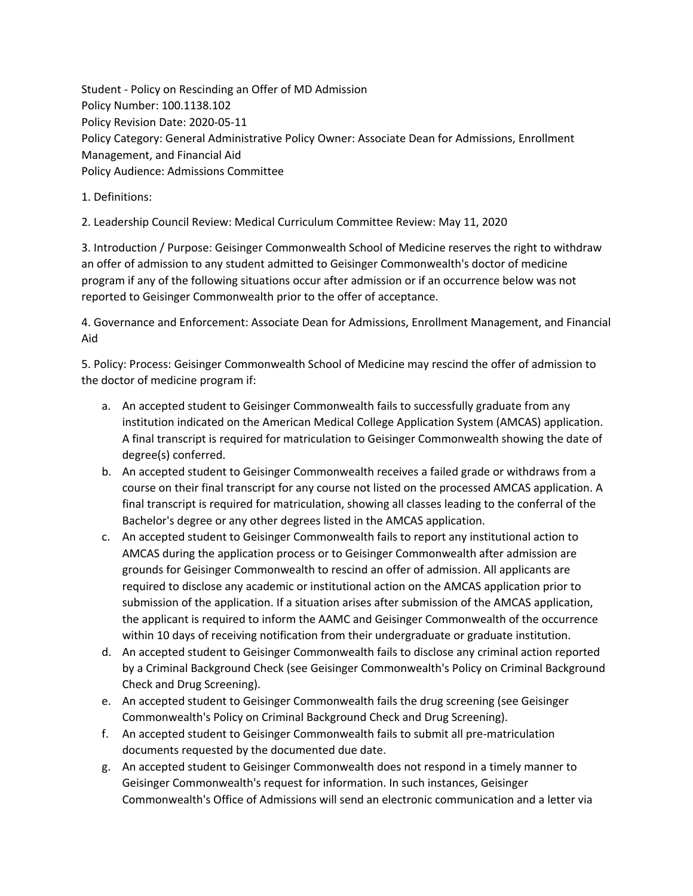Student - Policy on Rescinding an Offer of MD Admission Policy Number: 100.1138.102 Policy Revision Date: 2020-05-11 Policy Category: General Administrative Policy Owner: Associate Dean for Admissions, Enrollment Management, and Financial Aid Policy Audience: Admissions Committee

1. Definitions:

2. Leadership Council Review: Medical Curriculum Committee Review: May 11, 2020

3. Introduction / Purpose: Geisinger Commonwealth School of Medicine reserves the right to withdraw an offer of admission to any student admitted to Geisinger Commonwealth's doctor of medicine program if any of the following situations occur after admission or if an occurrence below was not reported to Geisinger Commonwealth prior to the offer of acceptance.

4. Governance and Enforcement: Associate Dean for Admissions, Enrollment Management, and Financial Aid

5. Policy: Process: Geisinger Commonwealth School of Medicine may rescind the offer of admission to the doctor of medicine program if:

- a. An accepted student to Geisinger Commonwealth fails to successfully graduate from any institution indicated on the American Medical College Application System (AMCAS) application. A final transcript is required for matriculation to Geisinger Commonwealth showing the date of degree(s) conferred.
- b. An accepted student to Geisinger Commonwealth receives a failed grade or withdraws from a course on their final transcript for any course not listed on the processed AMCAS application. A final transcript is required for matriculation, showing all classes leading to the conferral of the Bachelor's degree or any other degrees listed in the AMCAS application.
- c. An accepted student to Geisinger Commonwealth fails to report any institutional action to AMCAS during the application process or to Geisinger Commonwealth after admission are grounds for Geisinger Commonwealth to rescind an offer of admission. All applicants are required to disclose any academic or institutional action on the AMCAS application prior to submission of the application. If a situation arises after submission of the AMCAS application, the applicant is required to inform the AAMC and Geisinger Commonwealth of the occurrence within 10 days of receiving notification from their undergraduate or graduate institution.
- d. An accepted student to Geisinger Commonwealth fails to disclose any criminal action reported by a Criminal Background Check (see Geisinger Commonwealth's Policy on Criminal Background Check and Drug Screening).
- e. An accepted student to Geisinger Commonwealth fails the drug screening (see Geisinger Commonwealth's Policy on Criminal Background Check and Drug Screening).
- f. An accepted student to Geisinger Commonwealth fails to submit all pre-matriculation documents requested by the documented due date.
- g. An accepted student to Geisinger Commonwealth does not respond in a timely manner to Geisinger Commonwealth's request for information. In such instances, Geisinger Commonwealth's Office of Admissions will send an electronic communication and a letter via